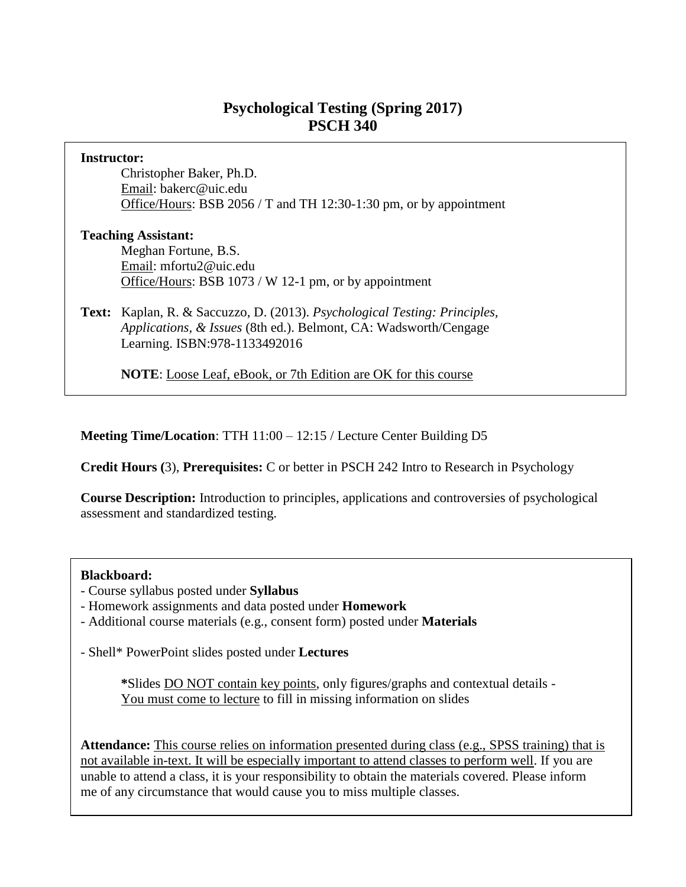## **Psychological Testing (Spring 2017) PSCH 340**

| Instructor:                |                                                                                                                                                                                 |  |  |
|----------------------------|---------------------------------------------------------------------------------------------------------------------------------------------------------------------------------|--|--|
|                            | Christopher Baker, Ph.D.                                                                                                                                                        |  |  |
|                            | Email: bakerc@uic.edu                                                                                                                                                           |  |  |
|                            | Office/Hours: BSB 2056 / T and TH 12:30-1:30 pm, or by appointment                                                                                                              |  |  |
| <b>Teaching Assistant:</b> |                                                                                                                                                                                 |  |  |
|                            | Meghan Fortune, B.S.                                                                                                                                                            |  |  |
|                            | Email: mfortu2@uic.edu                                                                                                                                                          |  |  |
|                            | Office/Hours: BSB 1073 / W 12-1 pm, or by appointment                                                                                                                           |  |  |
|                            | Text: Kaplan, R. & Saccuzzo, D. (2013). Psychological Testing: Principles,<br>Applications, & Issues (8th ed.). Belmont, CA: Wadsworth/Cengage<br>Learning. ISBN:978-1133492016 |  |  |
|                            | <b>NOTE:</b> Loose Leaf, eBook, or 7th Edition are OK for this course                                                                                                           |  |  |

**Meeting Time/Location**: TTH 11:00 – 12:15 / Lecture Center Building D5

**Credit Hours (**3), **Prerequisites:** C or better in PSCH 242 Intro to Research in Psychology

**Course Description:** Introduction to principles, applications and controversies of psychological assessment and standardized testing.

#### **Blackboard:**

- Course syllabus posted under **Syllabus**
- Homework assignments and data posted under **Homework**
- Additional course materials (e.g., consent form) posted under **Materials**

- Shell\* PowerPoint slides posted under **Lectures**

**\***Slides DO NOT contain key points, only figures/graphs and contextual details - You must come to lecture to fill in missing information on slides

**Attendance:** This course relies on information presented during class (e.g., SPSS training) that is not available in-text. It will be especially important to attend classes to perform well. If you are unable to attend a class, it is your responsibility to obtain the materials covered. Please inform me of any circumstance that would cause you to miss multiple classes.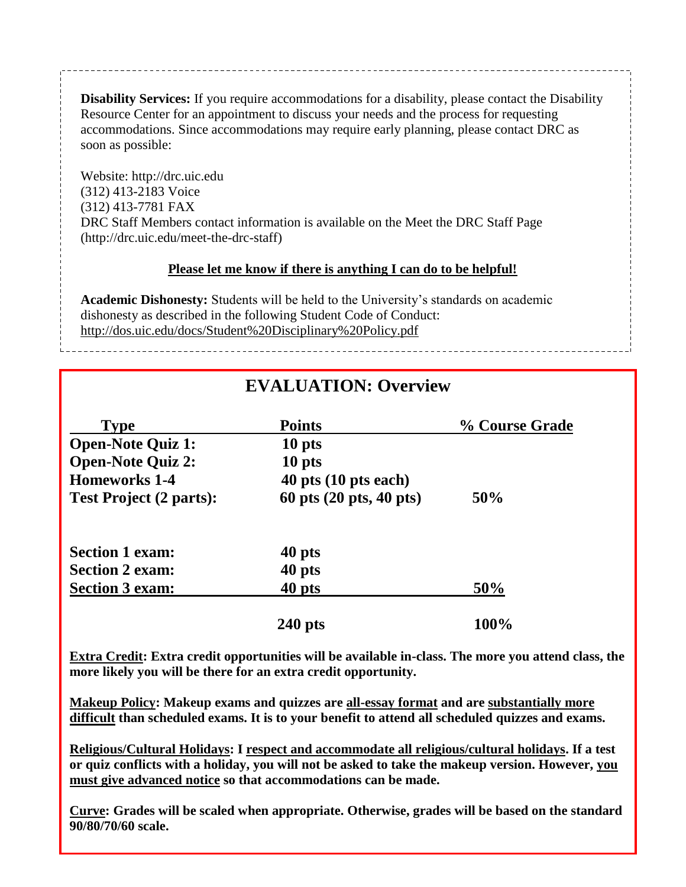**Disability Services:** If you require accommodations for a disability, please contact the Disability Resource Center for an appointment to discuss your needs and the process for requesting accommodations. Since accommodations may require early planning, please contact DRC as soon as possible:

Website: http://drc.uic.edu (312) 413-2183 Voice (312) 413-7781 FAX DRC Staff Members contact information is available on the Meet the DRC Staff Page (http://drc.uic.edu/meet-the-drc-staff)

#### **Please let me know if there is anything I can do to be helpful!**

**Academic Dishonesty:** Students will be held to the University's standards on academic dishonesty as described in the following Student Code of Conduct: http://dos.uic.edu/docs/Student%20Disciplinary%20Policy.pdf

# **EVALUATION: Overview**

| <b>Type</b>                    | <b>Points</b>            | % Course Grade |
|--------------------------------|--------------------------|----------------|
| <b>Open-Note Quiz 1:</b>       | 10 pts                   |                |
| <b>Open-Note Quiz 2:</b>       | 10 pts                   |                |
| <b>Homeworks 1-4</b>           | $40$ pts $(10$ pts each) |                |
| <b>Test Project (2 parts):</b> | 60 pts (20 pts, 40 pts)  | 50%            |
| <b>Section 1 exam:</b>         | 40 pts                   |                |
| <b>Section 2 exam:</b>         | 40 pts                   |                |
| <b>Section 3 exam:</b>         | 40 pts                   | 50%            |
|                                | $240$ pts                | 100%           |

**Extra Credit: Extra credit opportunities will be available in-class. The more you attend class, the more likely you will be there for an extra credit opportunity.**

**Makeup Policy: Makeup exams and quizzes are all-essay format and are substantially more difficult than scheduled exams. It is to your benefit to attend all scheduled quizzes and exams.**

**Religious/Cultural Holidays: I respect and accommodate all religious/cultural holidays. If a test or quiz conflicts with a holiday, you will not be asked to take the makeup version. However, you must give advanced notice so that accommodations can be made.**

**Curve: Grades will be scaled when appropriate. Otherwise, grades will be based on the standard 90/80/70/60 scale.**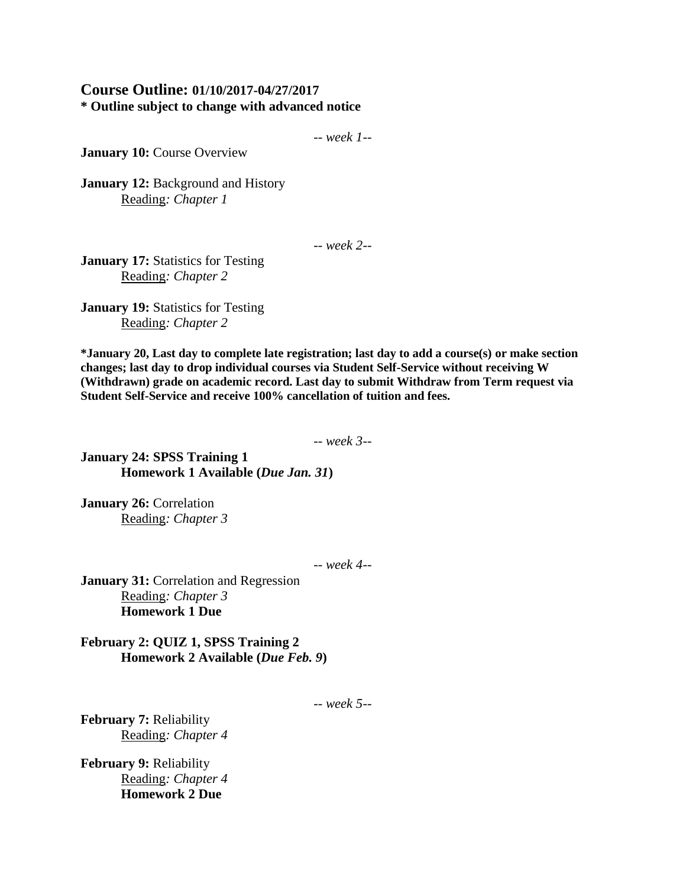## **Course Outline: 01/10/2017-04/27/2017 \* Outline subject to change with advanced notice**

-- *week 1--*

**January 10: Course Overview** 

**January 12: Background and History** Reading*: Chapter 1*

-- *week 2--*

**January 17:** Statistics for Testing Reading*: Chapter 2* 

**January 19:** Statistics for Testing Reading*: Chapter 2* 

**\*January 20, Last day to complete late registration; last day to add a course(s) or make section changes; last day to drop individual courses via Student Self-Service without receiving W (Withdrawn) grade on academic record. Last day to submit Withdraw from Term request via Student Self-Service and receive 100% cancellation of tuition and fees.**

-- *week 3--*

**January 24: SPSS Training 1 Homework 1 Available (***Due Jan. 31***)**

January 26: Correlation Reading*: Chapter 3* 

-- *week 4--*

**January 31:** Correlation and Regression Reading*: Chapter 3*  **Homework 1 Due**

**February 2: QUIZ 1, SPSS Training 2 Homework 2 Available (***Due Feb. 9***)**

-- *week 5--*

**February 7:** Reliability Reading*: Chapter 4*

**February 9:** Reliability Reading*: Chapter 4*  **Homework 2 Due**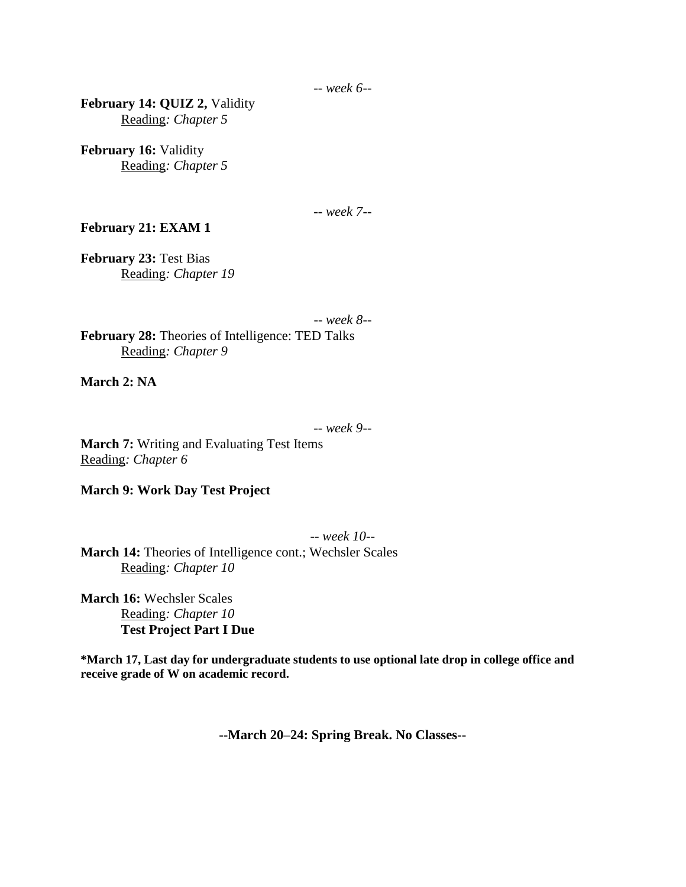-- *week 6--*

**February 14: QUIZ 2,** Validity Reading*: Chapter 5*

**February 16:** Validity Reading*: Chapter 5*

-- *week 7--*

**February 21: EXAM 1**

**February 23:** Test Bias Reading*: Chapter 19*

-- *week 8--* **February 28:** Theories of Intelligence: TED Talks Reading*: Chapter 9*

**March 2: NA**

-- *week 9--*

**March 7:** Writing and Evaluating Test Items Reading*: Chapter 6*

**March 9: Work Day Test Project**

-- *week 10--* **March 14:** Theories of Intelligence cont.; Wechsler Scales Reading*: Chapter 10*

**March 16:** Wechsler Scales Reading*: Chapter 10* **Test Project Part I Due**

**\*March 17, Last day for undergraduate students to use optional late drop in college office and receive grade of W on academic record.**

**--March 20–24: Spring Break. No Classes--**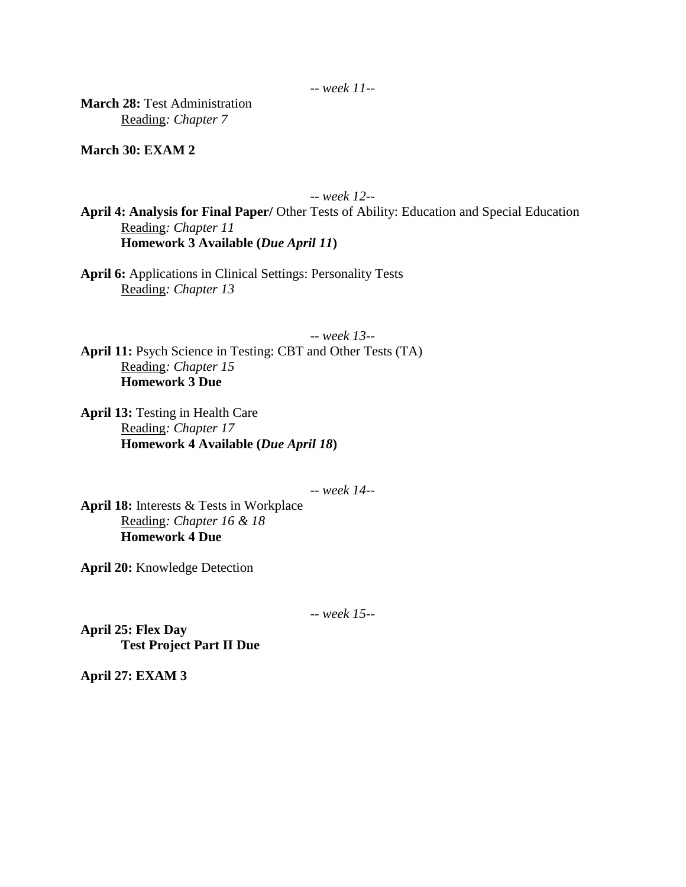**March 28:** Test Administration Reading*: Chapter 7*

**March 30: EXAM 2**

-- *week 12--*

**April 4: Analysis for Final Paper/** Other Tests of Ability: Education and Special Education Reading*: Chapter 11* **Homework 3 Available (***Due April 11***)**

**April 6:** Applications in Clinical Settings: Personality Tests Reading*: Chapter 13*

-- *week 13--* **April 11:** Psych Science in Testing: CBT and Other Tests (TA) Reading*: Chapter 15* **Homework 3 Due**

**April 13:** Testing in Health Care Reading*: Chapter 17*  **Homework 4 Available (***Due April 18***)**

-- *week 14--*

**April 18:** Interests & Tests in Workplace Reading*: Chapter 16 & 18*  **Homework 4 Due**

**April 20:** Knowledge Detection

-- *week 15--*

**April 25: Flex Day Test Project Part II Due**

**April 27: EXAM 3**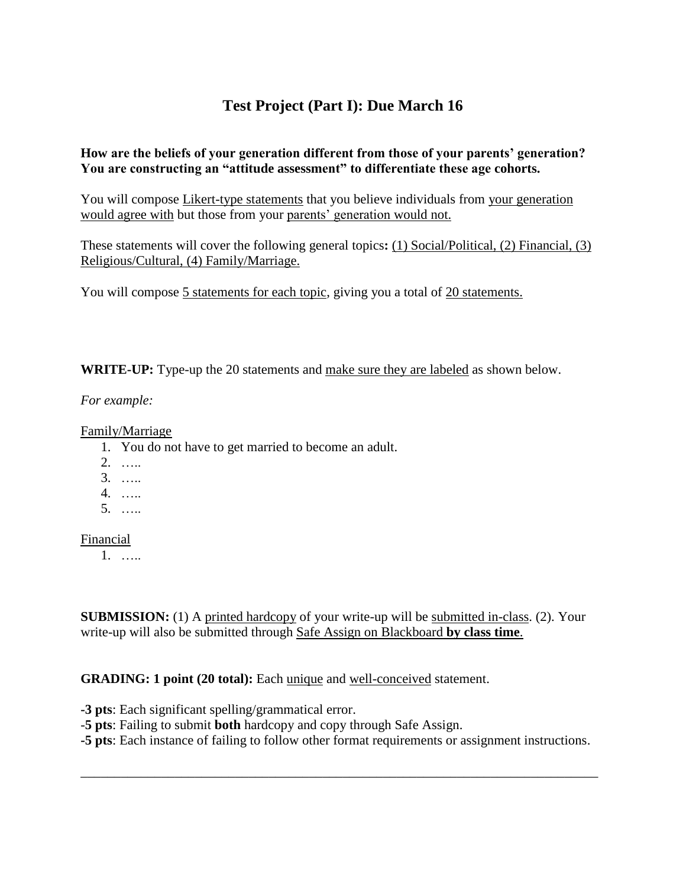# **Test Project (Part I): Due March 16**

## **How are the beliefs of your generation different from those of your parents' generation? You are constructing an "attitude assessment" to differentiate these age cohorts.**

You will compose Likert-type statements that you believe individuals from your generation would agree with but those from your parents' generation would not.

These statements will cover the following general topics**:** (1) Social/Political, (2) Financial, (3) Religious/Cultural, (4) Family/Marriage.

You will compose 5 statements for each topic, giving you a total of 20 statements.

**WRITE-UP:** Type-up the 20 statements and make sure they are labeled as shown below.

*For example:*

Family/Marriage

- 1. You do not have to get married to become an adult.
- 2. …..
- 3. …..
- 4. …..
- 5. …..

Financial

1. …..

**SUBMISSION:** (1) A printed hardcopy of your write-up will be submitted in-class. (2). Your write-up will also be submitted through Safe Assign on Blackboard **by class time**.

## **GRADING: 1 point (20 total):** Each unique and well-conceived statement.

**-3 pts**: Each significant spelling/grammatical error.

-**5 pts**: Failing to submit **both** hardcopy and copy through Safe Assign.

**-5 pts**: Each instance of failing to follow other format requirements or assignment instructions.

\_\_\_\_\_\_\_\_\_\_\_\_\_\_\_\_\_\_\_\_\_\_\_\_\_\_\_\_\_\_\_\_\_\_\_\_\_\_\_\_\_\_\_\_\_\_\_\_\_\_\_\_\_\_\_\_\_\_\_\_\_\_\_\_\_\_\_\_\_\_\_\_\_\_\_\_\_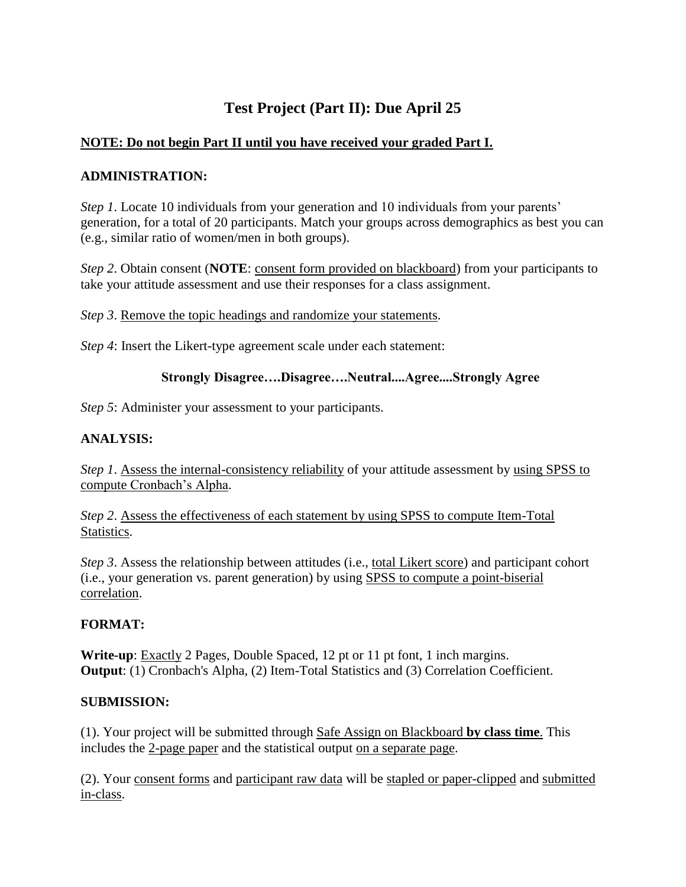# **Test Project (Part II): Due April 25**

## **NOTE: Do not begin Part II until you have received your graded Part I.**

## **ADMINISTRATION:**

*Step 1*. Locate 10 individuals from your generation and 10 individuals from your parents' generation, for a total of 20 participants. Match your groups across demographics as best you can (e.g., similar ratio of women/men in both groups).

*Step 2*. Obtain consent (**NOTE**: consent form provided on blackboard) from your participants to take your attitude assessment and use their responses for a class assignment.

*Step 3*. Remove the topic headings and randomize your statements.

*Step 4*: Insert the Likert-type agreement scale under each statement:

## **Strongly Disagree….Disagree….Neutral....Agree....Strongly Agree**

*Step 5*: Administer your assessment to your participants.

## **ANALYSIS:**

*Step 1*. Assess the internal-consistency reliability of your attitude assessment by using SPSS to compute Cronbach's Alpha.

*Step 2*. Assess the effectiveness of each statement by using SPSS to compute Item-Total Statistics.

*Step 3*. Assess the relationship between attitudes (i.e., total Likert score) and participant cohort (i.e., your generation vs. parent generation) by using SPSS to compute a point-biserial correlation.

## **FORMAT:**

**Write-up**: Exactly 2 Pages, Double Spaced, 12 pt or 11 pt font, 1 inch margins. **Output**: (1) Cronbach's Alpha, (2) Item-Total Statistics and (3) Correlation Coefficient.

## **SUBMISSION:**

(1). Your project will be submitted through Safe Assign on Blackboard **by class time**. This includes the 2-page paper and the statistical output on a separate page.

(2). Your consent forms and participant raw data will be stapled or paper-clipped and submitted in-class.